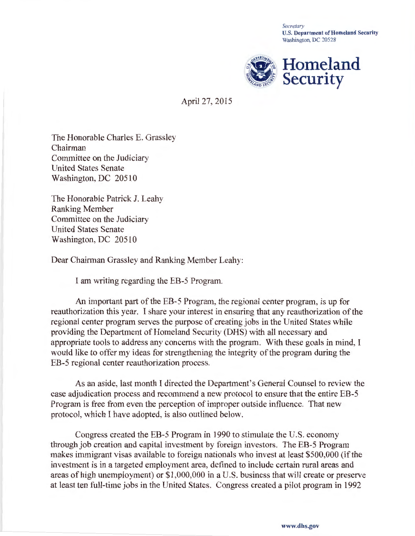*Secretary*  U.S. Department of Homeland Security Washington, DC 20528



April 27, 2015

The Honorable Charles E. Grassley Chairman Committee on the Judiciary United States Senate Washington, DC 20510

The Honorable Patrick J. Leahy Ranking Member Committee on the Judiciary United States Senate Washington, DC 20510

Dear Chairman Grassley and Ranking Member Leahy:

I am writing regarding the EB-5 Program.

An important part of the EB-5 Program, the regional center program, is up for reauthorization this year. I share your interest in ensuring that any reauthorization of the regional center program serves the purpose of creating jobs in the United States while providing the Department of Homeland Security (DHS) with all necessary and appropriate tools to address any concerns with the program. With these goals in mind, I would like to offer my ideas for strengthening the integrity of the program during the EB-5 regional center reauthorization process.

As an aside, last month I directed the Department's General Counsel to review the case adjudication process and recommend a new protocol to ensure that the entire EB-5 Program is free from even the perception of improper outside influence. That new protocol, which I have adopted, is also outlined below.

Congress created the EB-5 Program in 1990 to stimulate the U.S. economy through job creation and capital investment by foreign investors. The EB-5 Program makes immigrant visas available to foreign nationals who invest at least \$500,000 (if the investment is in a targeted employment area, defined to include certain rural areas and areas of high unemployment) or \$1 ,000,000 in a U.S. business that will create or preserve at least ten full-time jobs in the United States. Congress created a pilot program in 1992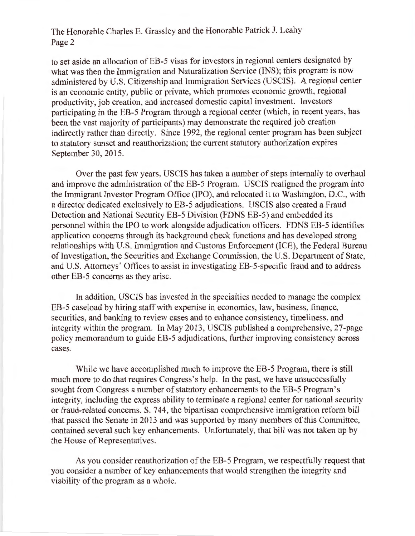to set aside an allocation of EB-5 visas for investors in regional centers designated by what was then the Immigration and Naturalization Service (INS); this program is now administered by U.S. Citizenship and Immigration Services (USCIS). A regional center is an economic entity, public or private, which promotes economic growth, regional productivity, job creation, and increased domestic capital investment. Investors participating in the EB-5 Program through a regional center (which, in recent years, has been the vast majority of participants) may demonstrate the required job creation indirectly rather than directly. Since 1992, the regional center program has been subject to statutory sunset and reauthorization; the current statutory authorization expires September 30, 2015.

Over the past few years, USCIS has taken a number of steps internally to overhaul and improve the administration of the EB-5 Program. USCIS realigned the program into the Immigrant Investor Program Office (IPO), and relocated it to Washington, D.C., with a director dedicated exclusively to EB-5 adjudications. USCIS also created a Fraud Detection and National Security EB-5 Division (FDNS EB-5) and embedded its personnel within the IPO to work alongside adjudication officers. FDNS EB-5 identifies application concerns through its background check functions and has developed strong relationships with U.S. Immigration and Customs Enforcement (ICE), the Federal Bureau of Investigation, the Securities and Exchange Commission, the U.S. Department of State, and U.S. Attorneys' Offices to assist in investigating EB-5-specific fraud and to address other EB-5 concerns as they arise.

In addition, USCIS has invested in the specialties needed to manage the complex EB-5 caseload by hiring staff with expertise in economics, law, business, finance, securities, and banking to review cases and to enhance consistency, timeliness, and integrity within the program. In May 2013, USCIS published a comprehensive, 27-page policy memorandum to guide EB-5 adjudications, further improving consistency across cases.

While we have accomplished much to improve the EB-5 Program, there is still much more to do that requires Congress's help. In the past, we have unsuccessfully sought from Congress a number of statutory enhancements to the EB-5 Program's integrity, including the express ability to terminate a regional center for national security or fraud-related concerns. S. 744, the bipartisan comprehensive immigration reform bill that passed the Senate in 2013 and was supported by many members of this Committee, contained several such key enhancements. Unfortunately, that bill was not taken up by the House of Representatives.

As you consider reauthorization of the EB-5 Program, we respectfully request that you consider a number of key enhancements that would strengthen the integrity and viability of the program as a whole.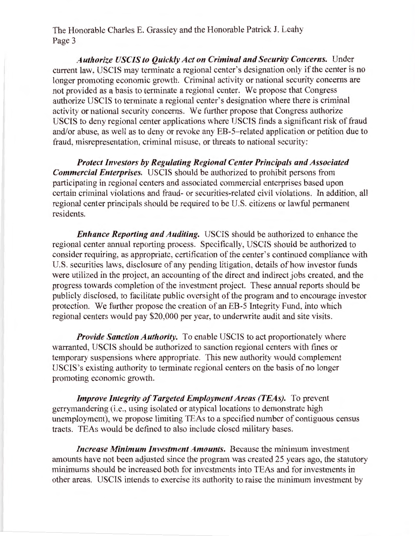*Authorize USCIS to Quickly Act on Criminal and Security Concerns.* Under current law, USCIS may terminate a regional center's designation only if the center is no longer promoting economic growth. Criminal activity or national security concerns are not provided as a basis to terminate a regional center. We propose that Congress authorize USCIS to terminate a regional center's designation where there is criminal activity or national security concerns. We further propose that Congress authorize USCIS to deny regional center applications where USCIS finds a significant risk of fraud and/or abuse, as well as to deny or revoke any EB-5-related application or petition due to fraud, misrepresentation, criminal misuse, or threats to national security:

*Protect Investors by Regulating Regional Center Principals and Associated Commercial Enterprises.* USCIS should be authorized to prohibit persons from participating in regional centers and associated commercial enterprises based upon certain criminal violations and fraud- or securities-related civil violations. In addition, all regional center principals should be required to be U.S. citizens or lawful permanent residents.

*Enhance Reporting and Auditing.* USCIS should be authorized to enhance the regional center annual reporting process. Specifically, USCIS should be authorized to consider requiring, as appropriate, certification of the center's continued compliance with U.S. securities laws, disclosure of any pending litigation, details of how investor funds were utilized in the project, an accounting of the direct and indirect jobs created, and the progress towards completion of the investment project. These annual reports should be publicly disclosed, to facilitate public oversight of the program and to encourage investor protection. We further propose the creation of an EB-5 Integrity Fund, into which regional centers would pay \$20,000 per year, to underwrite audit and site visits.

*Provide Sanction Authority.* To enable USCIS to act proportionately where warranted, USCIS should be authorized to sanction regional centers with fines or temporary suspensions where appropriate. This new authority would complement USCIS's existing authority to terminate regional centers on the basis of no longer promoting economic growth.

*Improve Integrity of Targeted Employment Areas (TEAs). To prevent* gerrymandering (i.e., using isolated or atypical locations to demonstrate high unemployment), we propose limiting TEAs to a specified number of contiguous census tracts. TEAs would be defined to also include closed military bases.

*Increase Minimum Investment Amounts.* Because the minimum investment amounts have not been adjusted since the program was created 25 years ago, the statutory minimums should be increased both for investments into TEAs and for investments in other areas. USCIS intends to exercise its authority to raise the minimum investment by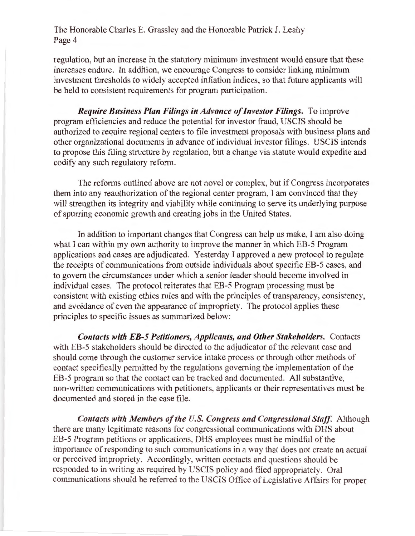regulation, but an increase in the statutory minimum investment would ensure that these increases endure. In addition, we encourage Congress to consider linking minimum investment thresholds to widely accepted inflation indices, so that future applicants will be held to consistent requirements for program participation.

*Require Business Plan Filings in Advance of Investor Filings.* To improve program efficiencies and reduce the potential for investor fraud, USCIS should be authorized to require regional centers to file investment proposals with business plans and other organizational documents in advance of individual investor filings. USCIS intends to propose this filing structure by regulation, but a change via statute would expedite and codify any such regulatory reform.

The reforms outlined above are not novel or complex, but if Congress incorporates them into any reauthorization of the regional center program, I am convinced that they will strengthen its integrity and viability while continuing to serve its underlying purpose of spurring economic growth and creating jobs in the United States.

In addition to important changes that Congress can help us make, I am also doing what I can within my own authority to improve the manner in which EB-5 Program applications and cases are adjudicated. Yesterday I approved a new protocol to regulate the receipts of communications from outside individuals about specific EB-5 cases, and to govern the circumstances under which a senior leader should become involved in individual cases. The protocol reiterates that EB-5 Program processing must be consistent with existing ethics rules and with the principles of transparency, consistency, and avoidance of even the appearance of impropriety. The protocol applies these principles to specific issues as summarized below:

*Contacts with EB-5 Petitioners, Applicants, and Other Stakeholders.* Contacts with EB-5 stakeholders should be directed to the adjudicator of the relevant case and should come through the customer service intake process or through other methods of contact specifically permitted by the regulations governing the implementation of the EB-5 program so that the contact can be tracked and documented. All substantive, non-written communications with petitioners, applicants or their representatives must be documented and stored in the case file.

*Contacts with Members of the U.S. Congress and Congressional Staff.* Although there are many legitimate reasons for congressional communications with DHS about EB-5 Program petitions or applications, DHS employees must be mindful of the importance of responding to such communications in a way that does not create an actual or perceived impropriety. Accordingly, written contacts and questions should be responded to in writing as required by USCIS policy and filed appropriately. Oral communications should be referred to the USCIS Office of Legislative Affairs for proper